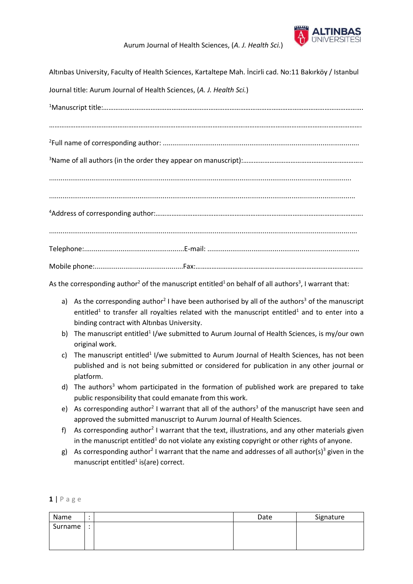

## Aurum Journal of Health Sciences, (*A. J. Health Sci.*)

| Altınbas University, Faculty of Health Sciences, Kartaltepe Mah. İncirli cad. No:11 Bakırköy / Istanbul |
|---------------------------------------------------------------------------------------------------------|
| Journal title: Aurum Journal of Health Sciences, (A. J. Health Sci.)                                    |
|                                                                                                         |
|                                                                                                         |
|                                                                                                         |
|                                                                                                         |
|                                                                                                         |
|                                                                                                         |
|                                                                                                         |
|                                                                                                         |

............................................................................................................................................................... <sup>4</sup>Address of corresponding author:………………………………………………………………………………………………………. ................................................................................................................................................................ Telephone:....................................................E-mail: ............................................................................... Mobile phone:..............................................Fax:…………………………………………………………………………………..

As the corresponding author<sup>2</sup> of the manuscript entitled<sup>1</sup> on behalf of all authors<sup>3</sup>, I warrant that:

- a) As the corresponding author<sup>2</sup> I have been authorised by all of the authors<sup>3</sup> of the manuscript entitled<sup>1</sup> to transfer all royalties related with the manuscript entitled<sup>1</sup> and to enter into a binding contract with Altınbas University.
- b) The manuscript entitled<sup>1</sup> I/we submitted to Aurum Journal of Health Sciences, is my/our own original work.
- c) The manuscript entitled<sup>1</sup> I/we submitted to Aurum Journal of Health Sciences, has not been published and is not being submitted or considered for publication in any other journal or platform.
- d) The authors<sup>3</sup> whom participated in the formation of published work are prepared to take public responsibility that could emanate from this work.
- e) As corresponding author<sup>2</sup> I warrant that all of the authors<sup>3</sup> of the manuscript have seen and approved the submitted manuscript to Aurum Journal of Health Sciences.
- f) As corresponding author<sup>2</sup> I warrant that the text, illustrations, and any other materials given in the manuscript entitled<sup>1</sup> do not violate any existing copyright or other rights of anyone.
- g) As corresponding author<sup>2</sup> I warrant that the name and addresses of all author(s)<sup>3</sup> given in the manuscript entitled<sup>1</sup> is(are) correct.

| Name    |           | Date | Signature |
|---------|-----------|------|-----------|
| Surname | $\bullet$ |      |           |
|         |           |      |           |
|         |           |      |           |

**1** | P a g e